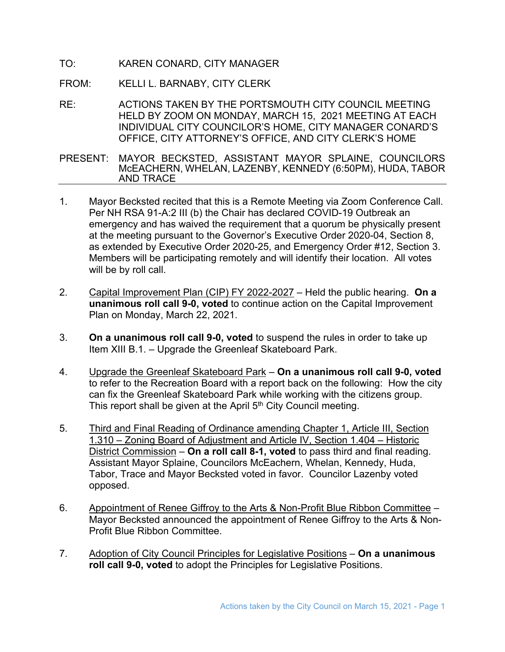- TO: KAREN CONARD, CITY MANAGER
- FROM: KELLI L. BARNABY, CITY CLERK
- RE: ACTIONS TAKEN BY THE PORTSMOUTH CITY COUNCIL MEETING HELD BY ZOOM ON MONDAY, MARCH 15, 2021 MEETING AT EACH INDIVIDUAL CITY COUNCILOR'S HOME, CITY MANAGER CONARD'S OFFICE, CITY ATTORNEY'S OFFICE, AND CITY CLERK'S HOME

PRESENT: MAYOR BECKSTED, ASSISTANT MAYOR SPLAINE, COUNCILORS McEACHERN, WHELAN, LAZENBY, KENNEDY (6:50PM), HUDA, TABOR AND TRACE

- 1. Mayor Becksted recited that this is a Remote Meeting via Zoom Conference Call. Per NH RSA 91-A:2 III (b) the Chair has declared COVID-19 Outbreak an emergency and has waived the requirement that a quorum be physically present at the meeting pursuant to the Governor's Executive Order 2020-04, Section 8, as extended by Executive Order 2020-25, and Emergency Order #12, Section 3. Members will be participating remotely and will identify their location. All votes will be by roll call.
- 2. Capital Improvement Plan (CIP) FY 2022-2027 Held the public hearing. **On a unanimous roll call 9-0, voted** to continue action on the Capital Improvement Plan on Monday, March 22, 2021.
- 3. **On a unanimous roll call 9-0, voted** to suspend the rules in order to take up Item XIII B.1. – Upgrade the Greenleaf Skateboard Park.
- 4. Upgrade the Greenleaf Skateboard Park **On a unanimous roll call 9-0, voted** to refer to the Recreation Board with a report back on the following: How the city can fix the Greenleaf Skateboard Park while working with the citizens group. This report shall be given at the April  $5<sup>th</sup>$  City Council meeting.
- 5. Third and Final Reading of Ordinance amending Chapter 1, Article III, Section 1.310 – Zoning Board of Adjustment and Article IV, Section 1.404 – Historic District Commission – **On a roll call 8-1, voted** to pass third and final reading. Assistant Mayor Splaine, Councilors McEachern, Whelan, Kennedy, Huda, Tabor, Trace and Mayor Becksted voted in favor. Councilor Lazenby voted opposed.
- 6. Appointment of Renee Giffroy to the Arts & Non-Profit Blue Ribbon Committee Mayor Becksted announced the appointment of Renee Giffroy to the Arts & Non-Profit Blue Ribbon Committee.
- 7. Adoption of City Council Principles for Legislative Positions **On a unanimous roll call 9-0, voted** to adopt the Principles for Legislative Positions.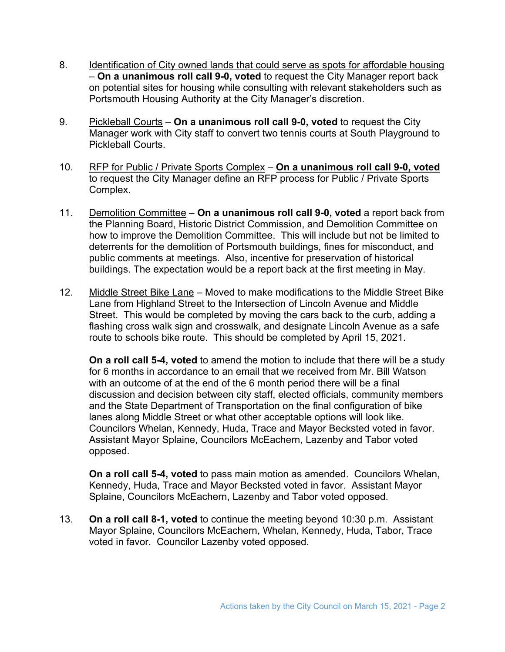- 8. Identification of City owned lands that could serve as spots for affordable housing – **On a unanimous roll call 9-0, voted** to request the City Manager report back on potential sites for housing while consulting with relevant stakeholders such as Portsmouth Housing Authority at the City Manager's discretion.
- 9. Pickleball Courts **On a unanimous roll call 9-0, voted** to request the City Manager work with City staff to convert two tennis courts at South Playground to Pickleball Courts.
- 10. RFP for Public / Private Sports Complex **On a unanimous roll call 9-0, voted** to request the City Manager define an RFP process for Public / Private Sports Complex.
- 11. Demolition Committee **On a unanimous roll call 9-0, voted** a report back from the Planning Board, Historic District Commission, and Demolition Committee on how to improve the Demolition Committee. This will include but not be limited to deterrents for the demolition of Portsmouth buildings, fines for misconduct, and public comments at meetings. Also, incentive for preservation of historical buildings. The expectation would be a report back at the first meeting in May.
- 12. Middle Street Bike Lane Moved to make modifications to the Middle Street Bike Lane from Highland Street to the Intersection of Lincoln Avenue and Middle Street. This would be completed by moving the cars back to the curb, adding a flashing cross walk sign and crosswalk, and designate Lincoln Avenue as a safe route to schools bike route. This should be completed by April 15, 2021.

**On a roll call 5-4, voted** to amend the motion to include that there will be a study for 6 months in accordance to an email that we received from Mr. Bill Watson with an outcome of at the end of the 6 month period there will be a final discussion and decision between city staff, elected officials, community members and the State Department of Transportation on the final configuration of bike lanes along Middle Street or what other acceptable options will look like. Councilors Whelan, Kennedy, Huda, Trace and Mayor Becksted voted in favor. Assistant Mayor Splaine, Councilors McEachern, Lazenby and Tabor voted opposed.

**On a roll call 5-4, voted** to pass main motion as amended. Councilors Whelan, Kennedy, Huda, Trace and Mayor Becksted voted in favor. Assistant Mayor Splaine, Councilors McEachern, Lazenby and Tabor voted opposed.

13. **On a roll call 8-1, voted** to continue the meeting beyond 10:30 p.m. Assistant Mayor Splaine, Councilors McEachern, Whelan, Kennedy, Huda, Tabor, Trace voted in favor. Councilor Lazenby voted opposed.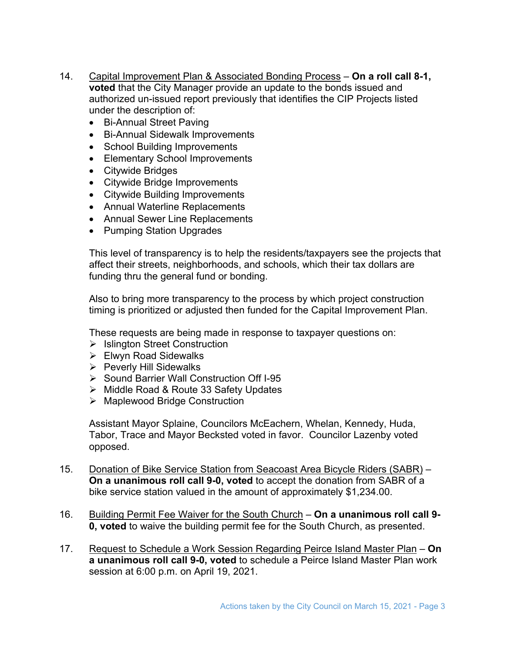- 14. Capital Improvement Plan & Associated Bonding Process **On a roll call 8-1, voted** that the City Manager provide an update to the bonds issued and authorized un-issued report previously that identifies the CIP Projects listed under the description of:
	- Bi-Annual Street Paving
	- Bi-Annual Sidewalk Improvements
	- School Building Improvements
	- Elementary School Improvements
	- Citywide Bridges
	- Citywide Bridge Improvements
	- Citywide Building Improvements
	- Annual Waterline Replacements
	- Annual Sewer Line Replacements
	- Pumping Station Upgrades

This level of transparency is to help the residents/taxpayers see the projects that affect their streets, neighborhoods, and schools, which their tax dollars are funding thru the general fund or bonding.

Also to bring more transparency to the process by which project construction timing is prioritized or adjusted then funded for the Capital Improvement Plan.

These requests are being made in response to taxpayer questions on:

- $\triangleright$  Islington Street Construction
- Elwyn Road Sidewalks
- $\triangleright$  Peverly Hill Sidewalks
- ▶ Sound Barrier Wall Construction Off I-95
- Middle Road & Route 33 Safety Updates
- **▶ Maplewood Bridge Construction**

Assistant Mayor Splaine, Councilors McEachern, Whelan, Kennedy, Huda, Tabor, Trace and Mayor Becksted voted in favor. Councilor Lazenby voted opposed.

- 15. Donation of Bike Service Station from Seacoast Area Bicycle Riders (SABR) **On a unanimous roll call 9-0, voted** to accept the donation from SABR of a bike service station valued in the amount of approximately \$1,234.00.
- 16. Building Permit Fee Waiver for the South Church **On a unanimous roll call 9- 0, voted** to waive the building permit fee for the South Church, as presented.
- 17. Request to Schedule a Work Session Regarding Peirce Island Master Plan **On a unanimous roll call 9-0, voted** to schedule a Peirce Island Master Plan work session at 6:00 p.m. on April 19, 2021.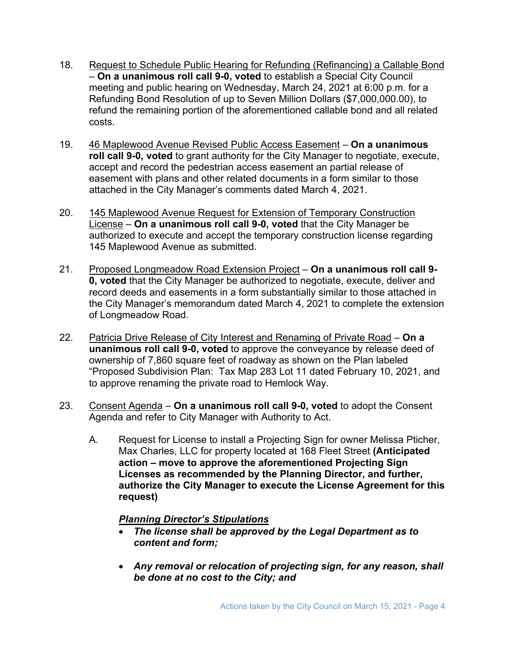- 18. Request to Schedule Public Hearing for Refunding (Refinancing) a Callable Bond – **On a unanimous roll call 9-0, voted** to establish a Special City Council meeting and public hearing on Wednesday, March 24, 2021 at 6:00 p.m. for a Refunding Bond Resolution of up to Seven Million Dollars (\$7,000,000.00), to refund the remaining portion of the aforementioned callable bond and all related costs.
- 19. 46 Maplewood Avenue Revised Public Access Easement **On a unanimous roll call 9-0, voted** to grant authority for the City Manager to negotiate, execute, accept and record the pedestrian access easement an partial release of easement with plans and other related documents in a form similar to those attached in the City Manager's comments dated March 4, 2021.
- 20. 145 Maplewood Avenue Request for Extension of Temporary Construction License – **On a unanimous roll call 9-0, voted** that the City Manager be authorized to execute and accept the temporary construction license regarding 145 Maplewood Avenue as submitted.
- 21. Proposed Longmeadow Road Extension Project **On a unanimous roll call 9- 0, voted** that the City Manager be authorized to negotiate, execute, deliver and record deeds and easements in a form substantially similar to those attached in the City Manager's memorandum dated March 4, 2021 to complete the extension of Longmeadow Road.
- 22. Patricia Drive Release of City Interest and Renaming of Private Road **On a unanimous roll call 9-0, voted** to approve the conveyance by release deed of ownership of 7,860 square feet of roadway as shown on the Plan labeled "Proposed Subdivision Plan: Tax Map 283 Lot 11 dated February 10, 2021, and to approve renaming the private road to Hemlock Way.
- 23. Consent Agenda **On a unanimous roll call 9-0, voted** to adopt the Consent Agenda and refer to City Manager with Authority to Act.
	- A. Request for License to install a Projecting Sign for owner Melissa Pticher, Max Charles, LLC for property located at 168 Fleet Street **(Anticipated action – move to approve the aforementioned Projecting Sign Licenses as recommended by the Planning Director, and further, authorize the City Manager to execute the License Agreement for this request)**

## *Planning Director's Stipulations*

- *The license shall be approved by the Legal Department as to content and form;*
- *Any removal or relocation of projecting sign, for any reason, shall be done at no cost to the City; and*